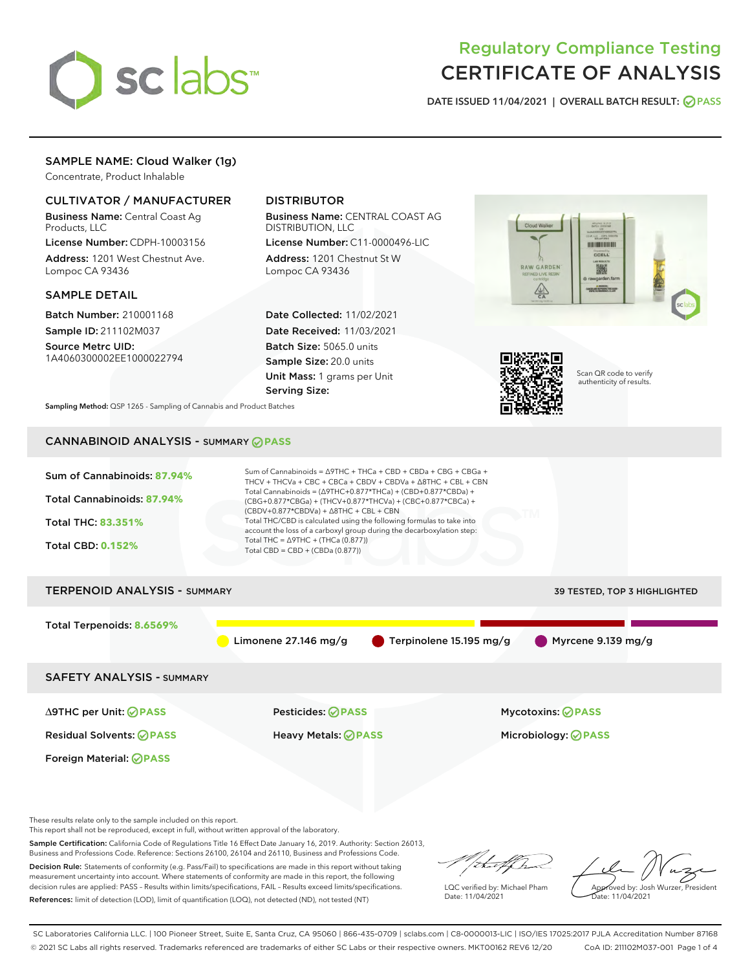

# Regulatory Compliance Testing CERTIFICATE OF ANALYSIS

DATE ISSUED 11/04/2021 | OVERALL BATCH RESULT: @ PASS

# SAMPLE NAME: Cloud Walker (1g)

Concentrate, Product Inhalable

# CULTIVATOR / MANUFACTURER

Business Name: Central Coast Ag Products, LLC

License Number: CDPH-10003156 Address: 1201 West Chestnut Ave. Lompoc CA 93436

### SAMPLE DETAIL

Batch Number: 210001168 Sample ID: 211102M037

Source Metrc UID: 1A4060300002EE1000022794

# DISTRIBUTOR

Business Name: CENTRAL COAST AG DISTRIBUTION, LLC

License Number: C11-0000496-LIC Address: 1201 Chestnut St W Lompoc CA 93436

Date Collected: 11/02/2021 Date Received: 11/03/2021 Batch Size: 5065.0 units Sample Size: 20.0 units Unit Mass: 1 grams per Unit Serving Size:





Scan QR code to verify authenticity of results.

Sampling Method: QSP 1265 - Sampling of Cannabis and Product Batches

# CANNABINOID ANALYSIS - SUMMARY **PASS**

| Sum of Cannabinoids: 87.94%<br>Total Cannabinoids: 87.94%<br><b>Total THC: 83.351%</b><br><b>Total CBD: 0.152%</b> | Sum of Cannabinoids = $\triangle$ 9THC + THCa + CBD + CBDa + CBG + CBGa +<br>THCV + THCVa + CBC + CBCa + CBDV + CBDVa + $\triangle$ 8THC + CBL + CBN<br>Total Cannabinoids = ( $\triangle$ 9THC+0.877*THCa) + (CBD+0.877*CBDa) +<br>(CBG+0.877*CBGa) + (THCV+0.877*THCVa) + (CBC+0.877*CBCa) +<br>$(CBDV+0.877*CBDVa) + \Delta 8THC + CBL + CBN$<br>Total THC/CBD is calculated using the following formulas to take into<br>account the loss of a carboxyl group during the decarboxylation step:<br>Total THC = $\triangle$ 9THC + (THCa (0.877))<br>Total CBD = $CBD + (CBDa (0.877))$ |                              |
|--------------------------------------------------------------------------------------------------------------------|-------------------------------------------------------------------------------------------------------------------------------------------------------------------------------------------------------------------------------------------------------------------------------------------------------------------------------------------------------------------------------------------------------------------------------------------------------------------------------------------------------------------------------------------------------------------------------------------|------------------------------|
| <b>TERPENOID ANALYSIS - SUMMARY</b>                                                                                |                                                                                                                                                                                                                                                                                                                                                                                                                                                                                                                                                                                           | 39 TESTED, TOP 3 HIGHLIGHTED |
| Total Terpenoids: 8.6569%                                                                                          | Limonene $27.146$ mg/g<br>Terpinolene 15.195 mg/g                                                                                                                                                                                                                                                                                                                                                                                                                                                                                                                                         | Myrcene 9.139 mg/g           |
| <b>SAFETY ANALYSIS - SUMMARY</b>                                                                                   |                                                                                                                                                                                                                                                                                                                                                                                                                                                                                                                                                                                           |                              |
| ∆9THC per Unit: ØPASS                                                                                              | Pesticides: ⊘PASS                                                                                                                                                                                                                                                                                                                                                                                                                                                                                                                                                                         | <b>Mycotoxins: ⊘PASS</b>     |
| <b>Residual Solvents: ⊘ PASS</b>                                                                                   | <b>Heavy Metals: ⊘ PASS</b>                                                                                                                                                                                                                                                                                                                                                                                                                                                                                                                                                               | Microbiology: <b>⊘PASS</b>   |
| Foreign Material: <b>⊘ PASS</b>                                                                                    |                                                                                                                                                                                                                                                                                                                                                                                                                                                                                                                                                                                           |                              |
|                                                                                                                    |                                                                                                                                                                                                                                                                                                                                                                                                                                                                                                                                                                                           |                              |

These results relate only to the sample included on this report.

This report shall not be reproduced, except in full, without written approval of the laboratory.

Sample Certification: California Code of Regulations Title 16 Effect Date January 16, 2019. Authority: Section 26013, Business and Professions Code. Reference: Sections 26100, 26104 and 26110, Business and Professions Code.

Decision Rule: Statements of conformity (e.g. Pass/Fail) to specifications are made in this report without taking measurement uncertainty into account. Where statements of conformity are made in this report, the following decision rules are applied: PASS – Results within limits/specifications, FAIL – Results exceed limits/specifications. References: limit of detection (LOD), limit of quantification (LOQ), not detected (ND), not tested (NT)

/ that f h

LQC verified by: Michael Pham Date: 11/04/2021

Approved by: Josh Wurzer, President Date: 11/04/2021

SC Laboratories California LLC. | 100 Pioneer Street, Suite E, Santa Cruz, CA 95060 | 866-435-0709 | sclabs.com | C8-0000013-LIC | ISO/IES 17025:2017 PJLA Accreditation Number 87168 © 2021 SC Labs all rights reserved. Trademarks referenced are trademarks of either SC Labs or their respective owners. MKT00162 REV6 12/20 CoA ID: 211102M037-001 Page 1 of 4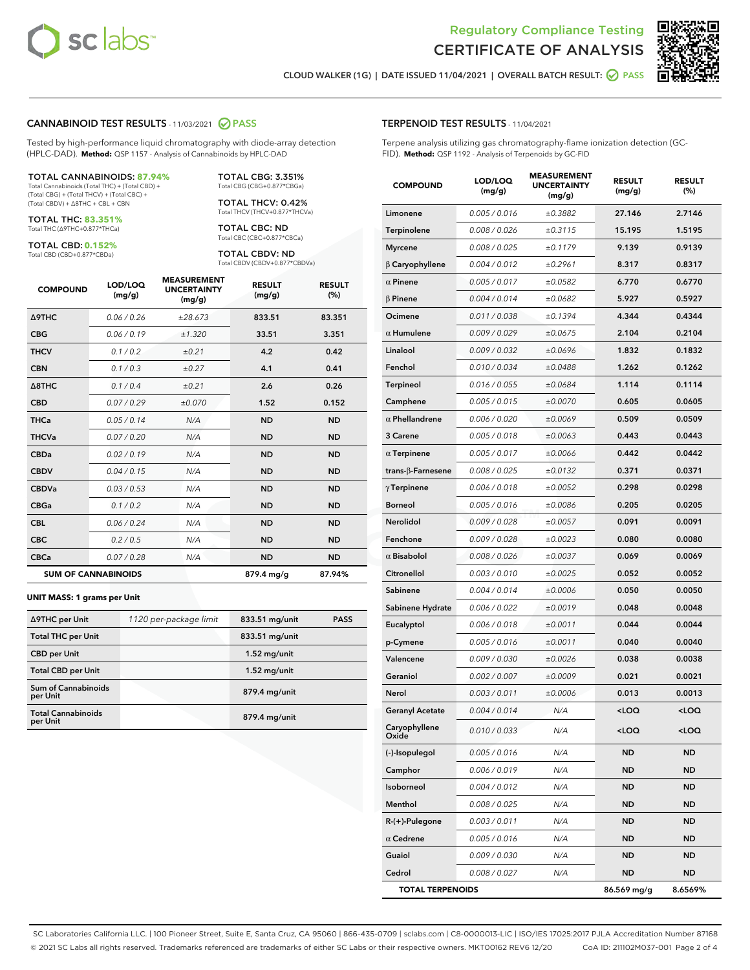



CLOUD WALKER (1G) | DATE ISSUED 11/04/2021 | OVERALL BATCH RESULT: @ PASS

#### CANNABINOID TEST RESULTS - 11/03/2021 2 PASS

Tested by high-performance liquid chromatography with diode-array detection (HPLC-DAD). **Method:** QSP 1157 - Analysis of Cannabinoids by HPLC-DAD

#### TOTAL CANNABINOIDS: **87.94%**

Total Cannabinoids (Total THC) + (Total CBD) + (Total CBG) + (Total THCV) + (Total CBC) + (Total CBDV) + ∆8THC + CBL + CBN

TOTAL THC: **83.351%** Total THC (∆9THC+0.877\*THCa)

TOTAL CBD: **0.152%** Total CBD (CBD+0.877\*CBDa)

TOTAL THCV: 0.42% Total THCV (THCV+0.877\*THCVa) TOTAL CBC: ND

Total CBC (CBC+0.877\*CBCa) TOTAL CBDV: ND

TOTAL CBG: 3.351% Total CBG (CBG+0.877\*CBGa)

Total CBDV (CBDV+0.877\*CBDVa)

| <b>COMPOUND</b>  | LOD/LOQ<br>(mg/g)          | <b>MEASUREMENT</b><br><b>UNCERTAINTY</b><br>(mg/g) | <b>RESULT</b><br>(mg/g) | <b>RESULT</b><br>(%) |
|------------------|----------------------------|----------------------------------------------------|-------------------------|----------------------|
| <b>A9THC</b>     | 0.06 / 0.26                | ±28.673                                            | 833.51                  | 83.351               |
| <b>CBG</b>       | 0.06/0.19                  | ±1.320                                             | 33.51                   | 3.351                |
| <b>THCV</b>      | 0.1 / 0.2                  | ±0.21                                              | 4.2                     | 0.42                 |
| <b>CBN</b>       | 0.1 / 0.3                  | ±0.27                                              | 4.1                     | 0.41                 |
| $\triangle$ 8THC | 0.1/0.4                    | ±0.21                                              | 2.6                     | 0.26                 |
| <b>CBD</b>       | 0.07/0.29                  | ±0.070                                             | 1.52                    | 0.152                |
| <b>THCa</b>      | 0.05/0.14                  | N/A                                                | <b>ND</b>               | <b>ND</b>            |
| <b>THCVa</b>     | 0.07/0.20                  | N/A                                                | <b>ND</b>               | <b>ND</b>            |
| <b>CBDa</b>      | 0.02/0.19                  | N/A                                                | <b>ND</b>               | <b>ND</b>            |
| <b>CBDV</b>      | 0.04/0.15                  | N/A                                                | <b>ND</b>               | <b>ND</b>            |
| <b>CBDVa</b>     | 0.03/0.53                  | N/A                                                | <b>ND</b>               | <b>ND</b>            |
| <b>CBGa</b>      | 0.1/0.2                    | N/A                                                | <b>ND</b>               | <b>ND</b>            |
| <b>CBL</b>       | 0.06 / 0.24                | N/A                                                | <b>ND</b>               | <b>ND</b>            |
| <b>CBC</b>       | 0.2 / 0.5                  | N/A                                                | <b>ND</b>               | <b>ND</b>            |
| <b>CBCa</b>      | 0.07 / 0.28                | N/A                                                | <b>ND</b>               | <b>ND</b>            |
|                  | <b>SUM OF CANNABINOIDS</b> |                                                    | 879.4 mg/g              | 87.94%               |

#### **UNIT MASS: 1 grams per Unit**

| ∆9THC per Unit                        | 1120 per-package limit | 833.51 mg/unit  | <b>PASS</b> |
|---------------------------------------|------------------------|-----------------|-------------|
| <b>Total THC per Unit</b>             |                        | 833.51 mg/unit  |             |
| <b>CBD per Unit</b>                   |                        | $1.52$ mg/unit  |             |
| <b>Total CBD per Unit</b>             |                        | $1.52$ mg/unit  |             |
| Sum of Cannabinoids<br>per Unit       |                        | $879.4$ mg/unit |             |
| <b>Total Cannabinoids</b><br>per Unit |                        | 879.4 mg/unit   |             |

#### TERPENOID TEST RESULTS - 11/04/2021

Terpene analysis utilizing gas chromatography-flame ionization detection (GC-FID). **Method:** QSP 1192 - Analysis of Terpenoids by GC-FID

| <b>COMPOUND</b>         | LOD/LOQ<br>(mg/g) | <b>MEASUREMENT</b><br><b>UNCERTAINTY</b><br>(mg/g) | <b>RESULT</b><br>(mg/g) | <b>RESULT</b><br>$(\%)$ |
|-------------------------|-------------------|----------------------------------------------------|-------------------------|-------------------------|
| Limonene                | 0.005 / 0.016     | ±0.3882                                            | 27.146                  | 2.7146                  |
| Terpinolene             | 0.008 / 0.026     | ±0.3115                                            | 15.195                  | 1.5195                  |
| <b>Myrcene</b>          | 0.008 / 0.025     | ±0.1179                                            | 9.139                   | 0.9139                  |
| $\beta$ Caryophyllene   | 0.004 / 0.012     | ±0.2961                                            | 8.317                   | 0.8317                  |
| $\alpha$ Pinene         | 0.005 / 0.017     | ±0.0582                                            | 6.770                   | 0.6770                  |
| $\beta$ Pinene          | 0.004 / 0.014     | ±0.0682                                            | 5.927                   | 0.5927                  |
| Ocimene                 | 0.011/0.038       | ±0.1394                                            | 4.344                   | 0.4344                  |
| $\alpha$ Humulene       | 0.009 / 0.029     | ±0.0675                                            | 2.104                   | 0.2104                  |
| Linalool                | 0.009 / 0.032     | ±0.0696                                            | 1.832                   | 0.1832                  |
| Fenchol                 | 0.010 / 0.034     | ±0.0488                                            | 1.262                   | 0.1262                  |
| <b>Terpineol</b>        | 0.016 / 0.055     | ±0.0684                                            | 1.114                   | 0.1114                  |
| Camphene                | 0.005 / 0.015     | ±0.0070                                            | 0.605                   | 0.0605                  |
| $\alpha$ Phellandrene   | 0.006 / 0.020     | ±0.0069                                            | 0.509                   | 0.0509                  |
| 3 Carene                | 0.005 / 0.018     | ±0.0063                                            | 0.443                   | 0.0443                  |
| $\alpha$ Terpinene      | 0.005 / 0.017     | ±0.0066                                            | 0.442                   | 0.0442                  |
| trans-β-Farnesene       | 0.008 / 0.025     | ±0.0132                                            | 0.371                   | 0.0371                  |
| $\gamma$ Terpinene      | 0.006 / 0.018     | ±0.0052                                            | 0.298                   | 0.0298                  |
| <b>Borneol</b>          | 0.005 / 0.016     | ±0.0086                                            | 0.205                   | 0.0205                  |
| <b>Nerolidol</b>        | 0.009 / 0.028     | ±0.0057                                            | 0.091                   | 0.0091                  |
| Fenchone                | 0.009 / 0.028     | ±0.0023                                            | 0.080                   | 0.0080                  |
| $\alpha$ Bisabolol      | 0.008 / 0.026     | ±0.0037                                            | 0.069                   | 0.0069                  |
| Citronellol             | 0.003 / 0.010     | ±0.0025                                            | 0.052                   | 0.0052                  |
| Sabinene                | 0.004 / 0.014     | ±0.0006                                            | 0.050                   | 0.0050                  |
| Sabinene Hydrate        | 0.006 / 0.022     | ±0.0019                                            | 0.048                   | 0.0048                  |
| Eucalyptol              | 0.006 / 0.018     | ±0.0011                                            | 0.044                   | 0.0044                  |
| p-Cymene                | 0.005 / 0.016     | ±0.0011                                            | 0.040                   | 0.0040                  |
| Valencene               | 0.009 / 0.030     | ±0.0026                                            | 0.038                   | 0.0038                  |
| Geraniol                | 0.002 / 0.007     | ±0.0009                                            | 0.021                   | 0.0021                  |
| Nerol                   | 0.003 / 0.011     | ±0.0006                                            | 0.013                   | 0.0013                  |
| <b>Geranyl Acetate</b>  | 0.004 / 0.014     | N/A                                                | $<$ LOQ                 | $<$ LOQ                 |
| Caryophyllene<br>Oxide  | 0.010 / 0.033     | N/A                                                | $<$ LOQ                 | 100                     |
| (-)-Isopulegol          | 0.005 / 0.016     | N/A                                                | ND                      | ND                      |
| Camphor                 | 0.006 / 0.019     | N/A                                                | <b>ND</b>               | ND                      |
| Isoborneol              | 0.004 / 0.012     | N/A                                                | ND                      | ND                      |
| Menthol                 | 0.008 / 0.025     | N/A                                                | ND                      | ND                      |
| R-(+)-Pulegone          | 0.003 / 0.011     | N/A                                                | ND                      | ND                      |
| $\alpha$ Cedrene        | 0.005 / 0.016     | N/A                                                | ND                      | ND                      |
| Guaiol                  | 0.009 / 0.030     | N/A                                                | ND                      | ND                      |
| Cedrol                  | 0.008 / 0.027     | N/A                                                | ND                      | ND                      |
| <b>TOTAL TERPENOIDS</b> |                   | 86.569 mg/g                                        | 8.6569%                 |                         |

SC Laboratories California LLC. | 100 Pioneer Street, Suite E, Santa Cruz, CA 95060 | 866-435-0709 | sclabs.com | C8-0000013-LIC | ISO/IES 17025:2017 PJLA Accreditation Number 87168 © 2021 SC Labs all rights reserved. Trademarks referenced are trademarks of either SC Labs or their respective owners. MKT00162 REV6 12/20 CoA ID: 211102M037-001 Page 2 of 4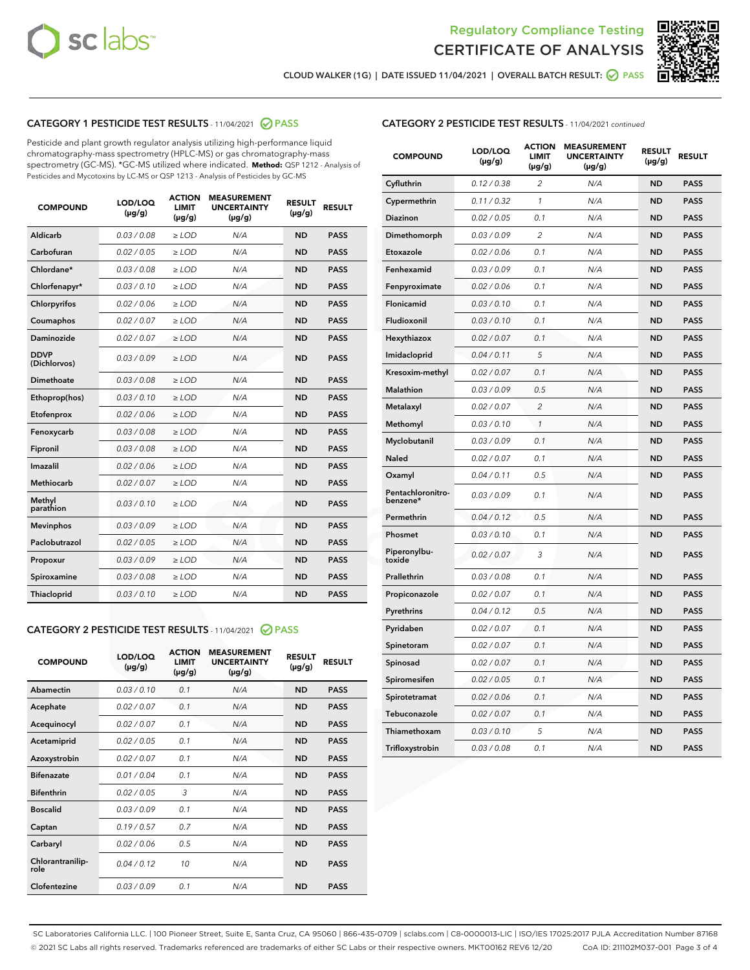



CLOUD WALKER (1G) | DATE ISSUED 11/04/2021 | OVERALL BATCH RESULT: ● PASS

# CATEGORY 1 PESTICIDE TEST RESULTS - 11/04/2021 2 PASS

Pesticide and plant growth regulator analysis utilizing high-performance liquid chromatography-mass spectrometry (HPLC-MS) or gas chromatography-mass spectrometry (GC-MS). \*GC-MS utilized where indicated. **Method:** QSP 1212 - Analysis of Pesticides and Mycotoxins by LC-MS or QSP 1213 - Analysis of Pesticides by GC-MS

| <b>COMPOUND</b>             | LOD/LOQ<br>$(\mu g/g)$ | <b>ACTION</b><br><b>LIMIT</b><br>$(\mu g/g)$ | <b>MEASUREMENT</b><br><b>UNCERTAINTY</b><br>$(\mu g/g)$ | <b>RESULT</b><br>$(\mu g/g)$ | <b>RESULT</b> |
|-----------------------------|------------------------|----------------------------------------------|---------------------------------------------------------|------------------------------|---------------|
| Aldicarb                    | 0.03 / 0.08            | $\ge$ LOD                                    | N/A                                                     | <b>ND</b>                    | <b>PASS</b>   |
| Carbofuran                  | 0.02 / 0.05            | $\geq$ LOD                                   | N/A                                                     | <b>ND</b>                    | <b>PASS</b>   |
| Chlordane*                  | 0.03 / 0.08            | $\ge$ LOD                                    | N/A                                                     | <b>ND</b>                    | <b>PASS</b>   |
| Chlorfenapyr*               | 0.03/0.10              | $\geq$ LOD                                   | N/A                                                     | <b>ND</b>                    | <b>PASS</b>   |
| Chlorpyrifos                | 0.02 / 0.06            | $\ge$ LOD                                    | N/A                                                     | <b>ND</b>                    | <b>PASS</b>   |
| Coumaphos                   | 0.02 / 0.07            | $\ge$ LOD                                    | N/A                                                     | <b>ND</b>                    | <b>PASS</b>   |
| Daminozide                  | 0.02 / 0.07            | $\ge$ LOD                                    | N/A                                                     | <b>ND</b>                    | <b>PASS</b>   |
| <b>DDVP</b><br>(Dichlorvos) | 0.03/0.09              | $>$ LOD                                      | N/A                                                     | <b>ND</b>                    | <b>PASS</b>   |
| Dimethoate                  | 0.03/0.08              | $\ge$ LOD                                    | N/A                                                     | <b>ND</b>                    | <b>PASS</b>   |
| Ethoprop(hos)               | 0.03/0.10              | $>$ LOD                                      | N/A                                                     | <b>ND</b>                    | <b>PASS</b>   |
| Etofenprox                  | 0.02 / 0.06            | $\ge$ LOD                                    | N/A                                                     | <b>ND</b>                    | <b>PASS</b>   |
| Fenoxycarb                  | 0.03/0.08              | $\ge$ LOD                                    | N/A                                                     | <b>ND</b>                    | <b>PASS</b>   |
| Fipronil                    | 0.03/0.08              | $\ge$ LOD                                    | N/A                                                     | <b>ND</b>                    | <b>PASS</b>   |
| Imazalil                    | 0.02 / 0.06            | $>$ LOD                                      | N/A                                                     | <b>ND</b>                    | <b>PASS</b>   |
| <b>Methiocarb</b>           | 0.02 / 0.07            | $\ge$ LOD                                    | N/A                                                     | <b>ND</b>                    | <b>PASS</b>   |
| Methyl<br>parathion         | 0.03/0.10              | $\ge$ LOD                                    | N/A                                                     | <b>ND</b>                    | <b>PASS</b>   |
| <b>Mevinphos</b>            | 0.03/0.09              | $\ge$ LOD                                    | N/A                                                     | <b>ND</b>                    | <b>PASS</b>   |
| Paclobutrazol               | 0.02 / 0.05            | $>$ LOD                                      | N/A                                                     | <b>ND</b>                    | <b>PASS</b>   |
| Propoxur                    | 0.03/0.09              | $\ge$ LOD                                    | N/A                                                     | <b>ND</b>                    | <b>PASS</b>   |
| Spiroxamine                 | 0.03/0.08              | $\ge$ LOD                                    | N/A                                                     | <b>ND</b>                    | <b>PASS</b>   |
| Thiacloprid                 | 0.03/0.10              | $\ge$ LOD                                    | N/A                                                     | <b>ND</b>                    | <b>PASS</b>   |

# CATEGORY 2 PESTICIDE TEST RESULTS - 11/04/2021 @ PASS

| <b>COMPOUND</b>          | LOD/LOO<br>$(\mu g/g)$ | <b>ACTION</b><br>LIMIT<br>$(\mu g/g)$ | <b>MEASUREMENT</b><br><b>UNCERTAINTY</b><br>$(\mu g/g)$ | <b>RESULT</b><br>$(\mu g/g)$ | <b>RESULT</b> |  |
|--------------------------|------------------------|---------------------------------------|---------------------------------------------------------|------------------------------|---------------|--|
| Abamectin                | 0.03/0.10              | 0.1                                   | N/A                                                     | <b>ND</b>                    | <b>PASS</b>   |  |
| Acephate                 | 0.02/0.07              | 0.1                                   | N/A                                                     | <b>ND</b>                    | <b>PASS</b>   |  |
| Acequinocyl              | 0.02/0.07              | 0.1                                   | N/A                                                     | <b>ND</b>                    | <b>PASS</b>   |  |
| Acetamiprid              | 0.02 / 0.05            | 0.1                                   | N/A                                                     | <b>ND</b>                    | <b>PASS</b>   |  |
| Azoxystrobin             | 0.02/0.07              | 0.1                                   | N/A                                                     | <b>ND</b>                    | <b>PASS</b>   |  |
| <b>Bifenazate</b>        | 0.01 / 0.04            | 0.1                                   | N/A                                                     | <b>ND</b>                    | <b>PASS</b>   |  |
| <b>Bifenthrin</b>        | 0.02 / 0.05            | 3                                     | N/A                                                     | <b>ND</b>                    | <b>PASS</b>   |  |
| <b>Boscalid</b>          | 0.03/0.09              | 0.1                                   | N/A                                                     | <b>ND</b>                    | <b>PASS</b>   |  |
| Captan                   | 0.19/0.57              | 0.7                                   | N/A                                                     | <b>ND</b>                    | <b>PASS</b>   |  |
| Carbaryl                 | 0.02/0.06              | 0.5                                   | N/A                                                     | <b>ND</b>                    | <b>PASS</b>   |  |
| Chlorantranilip-<br>role | 0.04/0.12              | 10                                    | N/A                                                     | <b>ND</b>                    | <b>PASS</b>   |  |
| Clofentezine             | 0.03/0.09              | 0.1                                   | N/A                                                     | <b>ND</b>                    | <b>PASS</b>   |  |

| <b>COMPOUND</b>               | LOD/LOQ<br>(µg/g) | <b>ACTION</b><br><b>LIMIT</b><br>(µg/g) | <b>MEASUREMENT</b><br><b>UNCERTAINTY</b><br>$(\mu g/g)$ | <b>RESULT</b><br>(µg/g) | <b>RESULT</b> |
|-------------------------------|-------------------|-----------------------------------------|---------------------------------------------------------|-------------------------|---------------|
| Cyfluthrin                    | 0.12 / 0.38       | $\overline{c}$                          | N/A                                                     | <b>ND</b>               | <b>PASS</b>   |
| Cypermethrin                  | 0.11 / 0.32       | $\mathcal{I}$                           | N/A                                                     | <b>ND</b>               | <b>PASS</b>   |
| <b>Diazinon</b>               | 0.02 / 0.05       | 0.1                                     | N/A                                                     | <b>ND</b>               | <b>PASS</b>   |
| Dimethomorph                  | 0.03 / 0.09       | 2                                       | N/A                                                     | <b>ND</b>               | <b>PASS</b>   |
| Etoxazole                     | 0.02 / 0.06       | 0.1                                     | N/A                                                     | <b>ND</b>               | <b>PASS</b>   |
| Fenhexamid                    | 0.03 / 0.09       | 0.1                                     | N/A                                                     | <b>ND</b>               | <b>PASS</b>   |
| Fenpyroximate                 | 0.02 / 0.06       | 0.1                                     | N/A                                                     | <b>ND</b>               | <b>PASS</b>   |
| Flonicamid                    | 0.03 / 0.10       | 0.1                                     | N/A                                                     | <b>ND</b>               | <b>PASS</b>   |
| Fludioxonil                   | 0.03/0.10         | 0.1                                     | N/A                                                     | <b>ND</b>               | <b>PASS</b>   |
| Hexythiazox                   | 0.02 / 0.07       | 0.1                                     | N/A                                                     | <b>ND</b>               | <b>PASS</b>   |
| Imidacloprid                  | 0.04 / 0.11       | 5                                       | N/A                                                     | <b>ND</b>               | <b>PASS</b>   |
| Kresoxim-methyl               | 0.02 / 0.07       | 0.1                                     | N/A                                                     | <b>ND</b>               | <b>PASS</b>   |
| <b>Malathion</b>              | 0.03 / 0.09       | 0.5                                     | N/A                                                     | <b>ND</b>               | <b>PASS</b>   |
| Metalaxyl                     | 0.02 / 0.07       | $\overline{c}$                          | N/A                                                     | <b>ND</b>               | <b>PASS</b>   |
| Methomyl                      | 0.03 / 0.10       | 1                                       | N/A                                                     | <b>ND</b>               | <b>PASS</b>   |
| Myclobutanil                  | 0.03 / 0.09       | 0.1                                     | N/A                                                     | <b>ND</b>               | <b>PASS</b>   |
| Naled                         | 0.02 / 0.07       | 0.1                                     | N/A                                                     | <b>ND</b>               | <b>PASS</b>   |
| Oxamyl                        | 0.04 / 0.11       | 0.5                                     | N/A                                                     | <b>ND</b>               | <b>PASS</b>   |
| Pentachloronitro-<br>benzene* | 0.03 / 0.09       | 0.1                                     | N/A                                                     | <b>ND</b>               | <b>PASS</b>   |
| Permethrin                    | 0.04 / 0.12       | 0.5                                     | N/A                                                     | <b>ND</b>               | <b>PASS</b>   |
| Phosmet                       | 0.03 / 0.10       | 0.1                                     | N/A                                                     | <b>ND</b>               | <b>PASS</b>   |
| Piperonylbu-<br>toxide        | 0.02 / 0.07       | 3                                       | N/A                                                     | <b>ND</b>               | <b>PASS</b>   |
| Prallethrin                   | 0.03 / 0.08       | 0.1                                     | N/A                                                     | <b>ND</b>               | <b>PASS</b>   |
| Propiconazole                 | 0.02 / 0.07       | 0.1                                     | N/A                                                     | <b>ND</b>               | <b>PASS</b>   |
| Pyrethrins                    | 0.04 / 0.12       | 0.5                                     | N/A                                                     | <b>ND</b>               | <b>PASS</b>   |
| Pyridaben                     | 0.02 / 0.07       | 0.1                                     | N/A                                                     | <b>ND</b>               | <b>PASS</b>   |
| Spinetoram                    | 0.02 / 0.07       | 0.1                                     | N/A                                                     | <b>ND</b>               | <b>PASS</b>   |
| Spinosad                      | 0.02 / 0.07       | 0.1                                     | N/A                                                     | <b>ND</b>               | <b>PASS</b>   |
| Spiromesifen                  | 0.02 / 0.05       | 0.1                                     | N/A                                                     | <b>ND</b>               | <b>PASS</b>   |
| Spirotetramat                 | 0.02 / 0.06       | 0.1                                     | N/A                                                     | <b>ND</b>               | <b>PASS</b>   |
| Tebuconazole                  | 0.02 / 0.07       | 0.1                                     | N/A                                                     | <b>ND</b>               | <b>PASS</b>   |
| Thiamethoxam                  | 0.03 / 0.10       | 5                                       | N/A                                                     | <b>ND</b>               | <b>PASS</b>   |
| Trifloxystrobin               | 0.03 / 0.08       | 0.1                                     | N/A                                                     | <b>ND</b>               | <b>PASS</b>   |

SC Laboratories California LLC. | 100 Pioneer Street, Suite E, Santa Cruz, CA 95060 | 866-435-0709 | sclabs.com | C8-0000013-LIC | ISO/IES 17025:2017 PJLA Accreditation Number 87168 © 2021 SC Labs all rights reserved. Trademarks referenced are trademarks of either SC Labs or their respective owners. MKT00162 REV6 12/20 CoA ID: 211102M037-001 Page 3 of 4